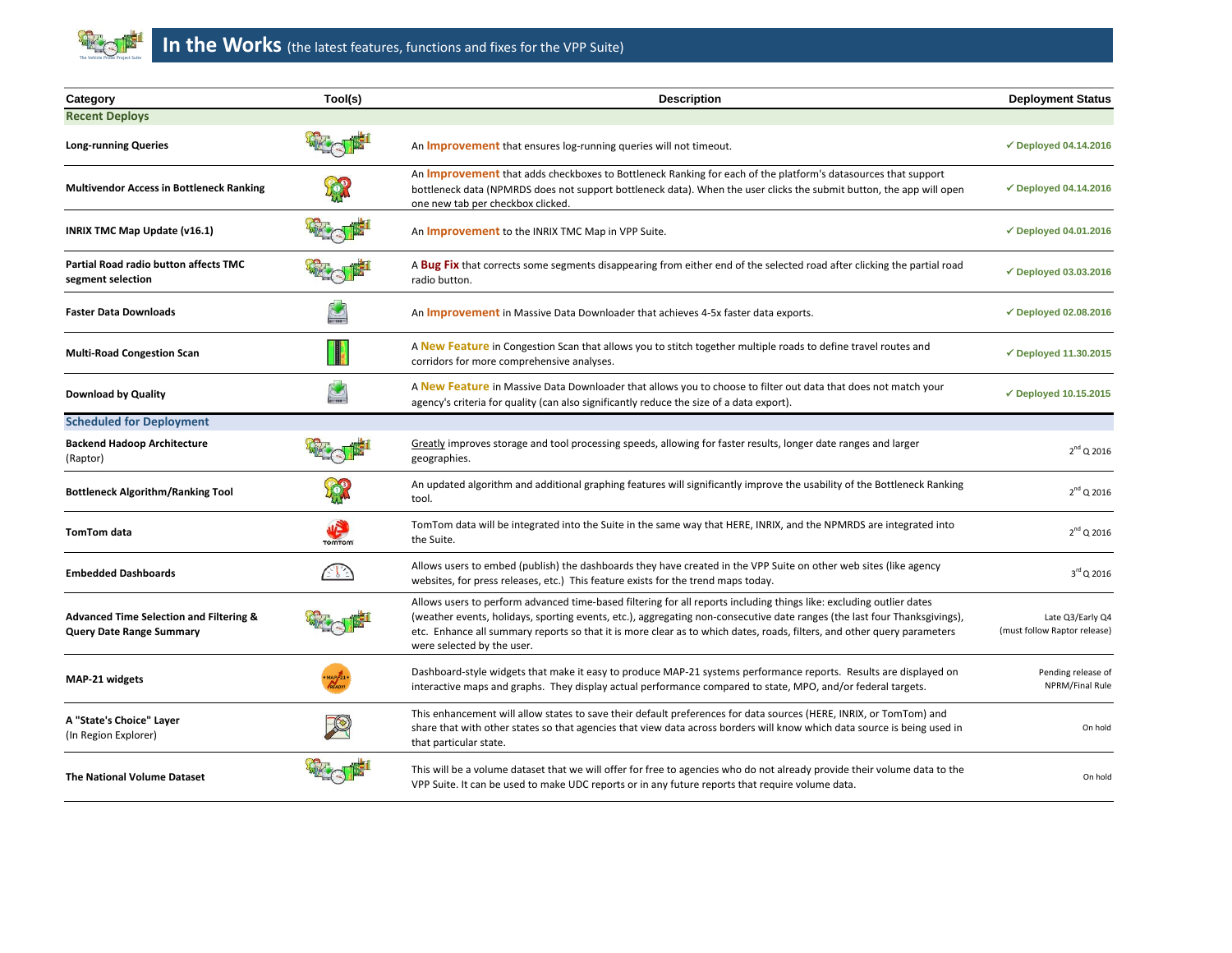

| Category                                                                              | Tool(s)                     | <b>Description</b>                                                                                                                                                                                                                                                                                                                                                                                         | <b>Deployment Status</b>                         |
|---------------------------------------------------------------------------------------|-----------------------------|------------------------------------------------------------------------------------------------------------------------------------------------------------------------------------------------------------------------------------------------------------------------------------------------------------------------------------------------------------------------------------------------------------|--------------------------------------------------|
| <b>Recent Deploys</b>                                                                 |                             |                                                                                                                                                                                                                                                                                                                                                                                                            |                                                  |
| <b>Long-running Queries</b>                                                           |                             | An <b>Improvement</b> that ensures log-running queries will not timeout.                                                                                                                                                                                                                                                                                                                                   | $\checkmark$ Deployed 04.14.2016                 |
| <b>Multivendor Access in Bottleneck Ranking</b>                                       |                             | An <b>Improvement</b> that adds checkboxes to Bottleneck Ranking for each of the platform's datasources that support<br>bottleneck data (NPMRDS does not support bottleneck data). When the user clicks the submit button, the app will open<br>one new tab per checkbox clicked.                                                                                                                          | $\checkmark$ Deployed 04.14.2016                 |
| INRIX TMC Map Update (v16.1)                                                          |                             | An <b>Improvement</b> to the INRIX TMC Map in VPP Suite.                                                                                                                                                                                                                                                                                                                                                   | $\checkmark$ Deployed 04.01.2016                 |
| Partial Road radio button affects TMC<br>segment selection                            |                             | A Bug Fix that corrects some segments disappearing from either end of the selected road after clicking the partial road<br>radio button.                                                                                                                                                                                                                                                                   | $\checkmark$ Deployed 03.03.2016                 |
| <b>Faster Data Downloads</b>                                                          |                             | An <i>Improvement</i> in Massive Data Downloader that achieves 4-5x faster data exports.                                                                                                                                                                                                                                                                                                                   | $\checkmark$ Deployed 02.08.2016                 |
| <b>Multi-Road Congestion Scan</b>                                                     |                             | A New Feature in Congestion Scan that allows you to stitch together multiple roads to define travel routes and<br>corridors for more comprehensive analyses.                                                                                                                                                                                                                                               | $\checkmark$ Deployed 11.30.2015                 |
| <b>Download by Quality</b>                                                            | $\mathbf{z}$                | A New Feature in Massive Data Downloader that allows you to choose to filter out data that does not match your<br>agency's criteria for quality (can also significantly reduce the size of a data export).                                                                                                                                                                                                 | $\checkmark$ Deployed 10.15.2015                 |
| <b>Scheduled for Deployment</b>                                                       |                             |                                                                                                                                                                                                                                                                                                                                                                                                            |                                                  |
| <b>Backend Hadoop Architecture</b><br>(Raptor)                                        |                             | Greatly improves storage and tool processing speeds, allowing for faster results, longer date ranges and larger<br>geographies.                                                                                                                                                                                                                                                                            | $2^{nd}$ Q 2016                                  |
| <b>Bottleneck Algorithm/Ranking Tool</b>                                              |                             | An updated algorithm and additional graphing features will significantly improve the usability of the Bottleneck Ranking<br>tool.                                                                                                                                                                                                                                                                          | $2^{nd}$ Q 2016                                  |
| <b>TomTom data</b>                                                                    | <b>WEB</b><br><b>TOMTOM</b> | TomTom data will be integrated into the Suite in the same way that HERE, INRIX, and the NPMRDS are integrated into<br>the Suite.                                                                                                                                                                                                                                                                           | $2^{nd}$ Q 2016                                  |
| <b>Embedded Dashboards</b>                                                            | 21 J                        | Allows users to embed (publish) the dashboards they have created in the VPP Suite on other web sites (like agency<br>websites, for press releases, etc.) This feature exists for the trend maps today.                                                                                                                                                                                                     | $3^{\rm rd}$ Q 2016                              |
| <b>Advanced Time Selection and Filtering &amp;</b><br><b>Query Date Range Summary</b> |                             | Allows users to perform advanced time-based filtering for all reports including things like: excluding outlier dates<br>(weather events, holidays, sporting events, etc.), aggregating non-consecutive date ranges (the last four Thanksgivings),<br>etc. Enhance all summary reports so that it is more clear as to which dates, roads, filters, and other query parameters<br>were selected by the user. | Late Q3/Early Q4<br>(must follow Raptor release) |
| MAP-21 widgets                                                                        |                             | Dashboard-style widgets that make it easy to produce MAP-21 systems performance reports. Results are displayed on<br>interactive maps and graphs. They display actual performance compared to state, MPO, and/or federal targets.                                                                                                                                                                          | Pending release of<br>NPRM/Final Rule            |
| A "State's Choice" Layer<br>(In Region Explorer)                                      |                             | This enhancement will allow states to save their default preferences for data sources (HERE, INRIX, or TomTom) and<br>share that with other states so that agencies that view data across borders will know which data source is being used in<br>that particular state.                                                                                                                                   | On hold                                          |
| <b>The National Volume Dataset</b>                                                    |                             | This will be a volume dataset that we will offer for free to agencies who do not already provide their volume data to the<br>VPP Suite. It can be used to make UDC reports or in any future reports that require volume data.                                                                                                                                                                              | On hold                                          |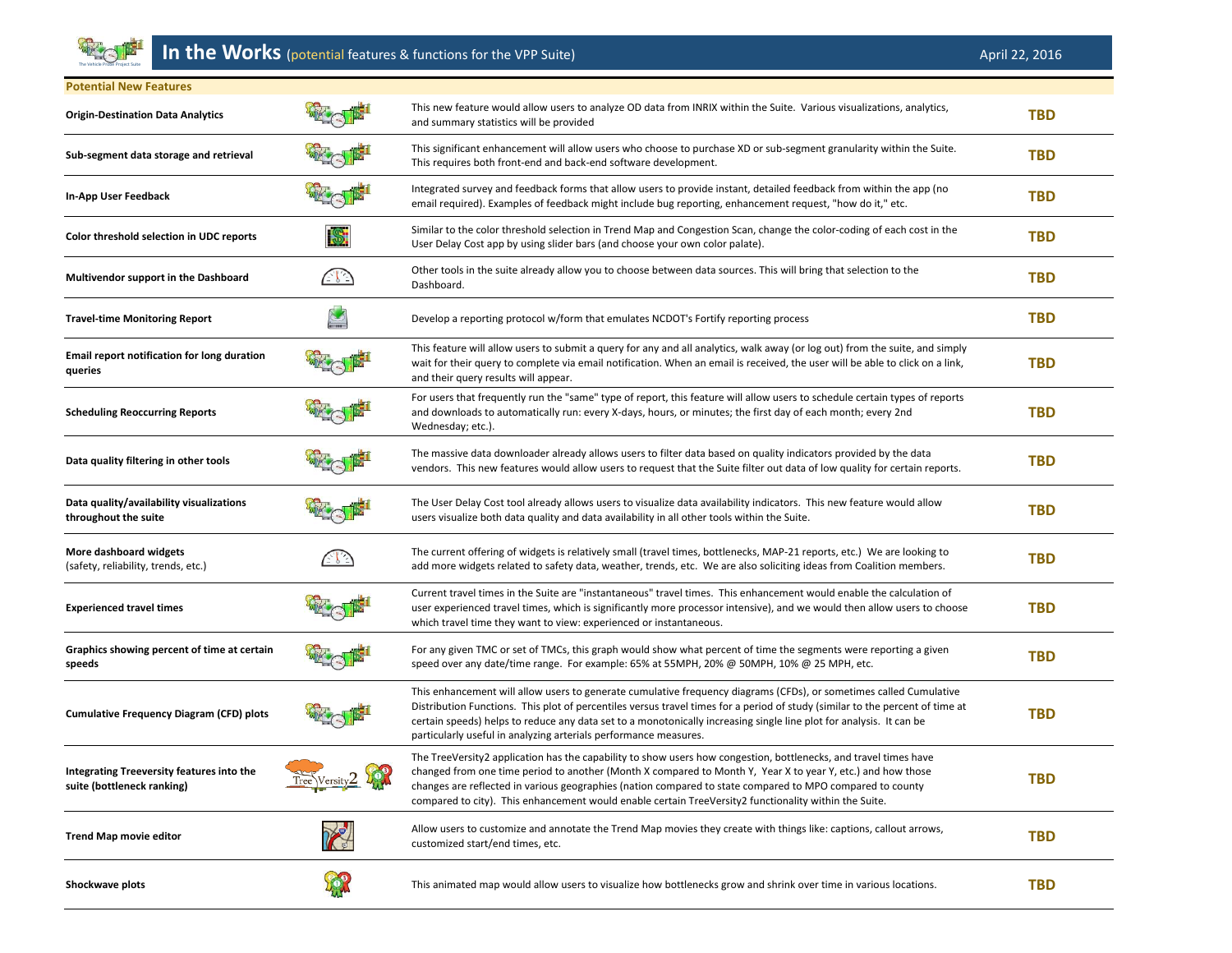

## **In the Works** (potential features & functions for the VPP Suite) April 22, 2016

| <b>Potential New Features</b>                                           |                              |                                                                                                                                                                                                                                                                                                                                                                                                                                                       |            |
|-------------------------------------------------------------------------|------------------------------|-------------------------------------------------------------------------------------------------------------------------------------------------------------------------------------------------------------------------------------------------------------------------------------------------------------------------------------------------------------------------------------------------------------------------------------------------------|------------|
| <b>Origin-Destination Data Analytics</b>                                |                              | This new feature would allow users to analyze OD data from INRIX within the Suite. Various visualizations, analytics,<br>and summary statistics will be provided                                                                                                                                                                                                                                                                                      | <b>TBD</b> |
| Sub-segment data storage and retrieval                                  |                              | This significant enhancement will allow users who choose to purchase XD or sub-segment granularity within the Suite.<br>This requires both front-end and back-end software development.                                                                                                                                                                                                                                                               | <b>TBD</b> |
| In-App User Feedback                                                    |                              | Integrated survey and feedback forms that allow users to provide instant, detailed feedback from within the app (no<br>email required). Examples of feedback might include bug reporting, enhancement request, "how do it," etc.                                                                                                                                                                                                                      | <b>TBD</b> |
| Color threshold selection in UDC reports                                |                              | Similar to the color threshold selection in Trend Map and Congestion Scan, change the color-coding of each cost in the<br>User Delay Cost app by using slider bars (and choose your own color palate).                                                                                                                                                                                                                                                | <b>TBD</b> |
| Multivendor support in the Dashboard                                    | $\triangle$ $\triangleright$ | Other tools in the suite already allow you to choose between data sources. This will bring that selection to the<br>Dashboard.                                                                                                                                                                                                                                                                                                                        | <b>TBD</b> |
| <b>Travel-time Monitoring Report</b>                                    |                              | Develop a reporting protocol w/form that emulates NCDOT's Fortify reporting process                                                                                                                                                                                                                                                                                                                                                                   | <b>TBD</b> |
| Email report notification for long duration<br>queries                  |                              | This feature will allow users to submit a query for any and all analytics, walk away (or log out) from the suite, and simply<br>wait for their query to complete via email notification. When an email is received, the user will be able to click on a link,<br>and their query results will appear.                                                                                                                                                 | <b>TBD</b> |
| <b>Scheduling Reoccurring Reports</b>                                   |                              | For users that frequently run the "same" type of report, this feature will allow users to schedule certain types of reports<br>and downloads to automatically run: every X-days, hours, or minutes; the first day of each month; every 2nd<br>Wednesday; etc.).                                                                                                                                                                                       | <b>TBD</b> |
| Data quality filtering in other tools                                   |                              | The massive data downloader already allows users to filter data based on quality indicators provided by the data<br>vendors. This new features would allow users to request that the Suite filter out data of low quality for certain reports.                                                                                                                                                                                                        | <b>TBD</b> |
| Data quality/availability visualizations<br>throughout the suite        |                              | The User Delay Cost tool already allows users to visualize data availability indicators. This new feature would allow<br>users visualize both data quality and data availability in all other tools within the Suite.                                                                                                                                                                                                                                 | <b>TBD</b> |
| More dashboard widgets<br>(safety, reliability, trends, etc.)           | 283                          | The current offering of widgets is relatively small (travel times, bottlenecks, MAP-21 reports, etc.) We are looking to<br>add more widgets related to safety data, weather, trends, etc. We are also soliciting ideas from Coalition members.                                                                                                                                                                                                        | <b>TBD</b> |
| <b>Experienced travel times</b>                                         |                              | Current travel times in the Suite are "instantaneous" travel times. This enhancement would enable the calculation of<br>user experienced travel times, which is significantly more processor intensive), and we would then allow users to choose<br>which travel time they want to view: experienced or instantaneous.                                                                                                                                | <b>TBD</b> |
| Graphics showing percent of time at certain<br>speeds                   |                              | For any given TMC or set of TMCs, this graph would show what percent of time the segments were reporting a given<br>speed over any date/time range. For example: 65% at 55MPH, 20% @ 50MPH, 10% @ 25 MPH, etc.                                                                                                                                                                                                                                        | <b>TBD</b> |
| <b>Cumulative Frequency Diagram (CFD) plots</b>                         |                              | This enhancement will allow users to generate cumulative frequency diagrams (CFDs), or sometimes called Cumulative<br>Distribution Functions. This plot of percentiles versus travel times for a period of study (similar to the percent of time at<br>certain speeds) helps to reduce any data set to a monotonically increasing single line plot for analysis. It can be<br>particularly useful in analyzing arterials performance measures.        | <b>TBD</b> |
| Integrating Treeversity features into the<br>suite (bottleneck ranking) | Tree Versity 2 200           | The TreeVersity2 application has the capability to show users how congestion, bottlenecks, and travel times have<br>changed from one time period to another (Month X compared to Month Y, Year X to year Y, etc.) and how those<br>changes are reflected in various geographies (nation compared to state compared to MPO compared to county<br>compared to city). This enhancement would enable certain TreeVersity2 functionality within the Suite. | <b>TBD</b> |
| <b>Trend Map movie editor</b>                                           | Re                           | Allow users to customize and annotate the Trend Map movies they create with things like: captions, callout arrows,<br>customized start/end times, etc.                                                                                                                                                                                                                                                                                                | <b>TBD</b> |
| Shockwave plots                                                         | Cop                          | This animated map would allow users to visualize how bottlenecks grow and shrink over time in various locations.                                                                                                                                                                                                                                                                                                                                      | <b>TBD</b> |